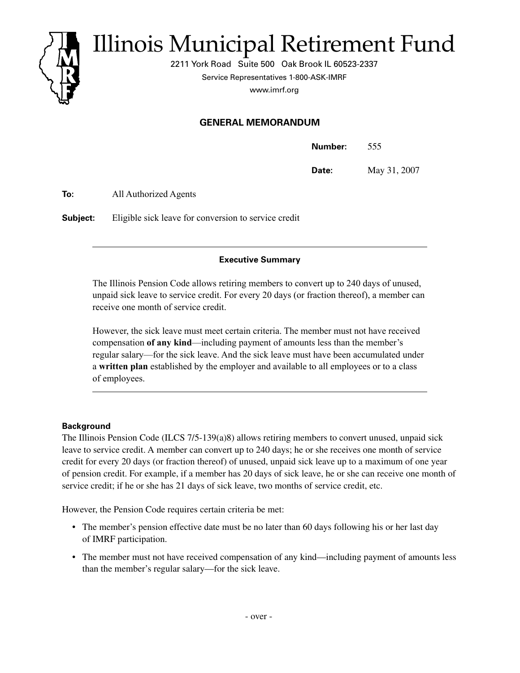

# Illinois Municipal Retirement Fund

2211 York Road Suite 500 Oak Brook IL 60523-2337

Service Representatives 1-800-ASK-IMRF

www.imrf.org

## **GENERAL MEMORANDUM**

| Number: | 555          |
|---------|--------------|
| Date:   | May 31, 2007 |

**To:** All Authorized Agents

**Subject:** Eligible sick leave for conversion to service credit

## **Executive Summary**

The Illinois Pension Code allows retiring members to convert up to 240 days of unused, unpaid sick leave to service credit. For every 20 days (or fraction thereof), a member can receive one month of service credit.

However, the sick leave must meet certain criteria. The member must not have received compensation **of any kind**—including payment of amounts less than the member's regular salary—for the sick leave. And the sick leave must have been accumulated under a **written plan** established by the employer and available to all employees or to a class of employees.

## **Background**

The Illinois Pension Code (ILCS 7/5-139(a)8) allows retiring members to convert unused, unpaid sick leave to service credit. A member can convert up to 240 days; he or she receives one month of service credit for every 20 days (or fraction thereof) of unused, unpaid sick leave up to a maximum of one year of pension credit. For example, if a member has 20 days of sick leave, he or she can receive one month of service credit; if he or she has 21 days of sick leave, two months of service credit, etc.

However, the Pension Code requires certain criteria be met:

- The member's pension effective date must be no later than 60 days following his or her last day of IMRF participation.
- The member must not have received compensation of any kind—including payment of amounts less than the member's regular salary—for the sick leave.